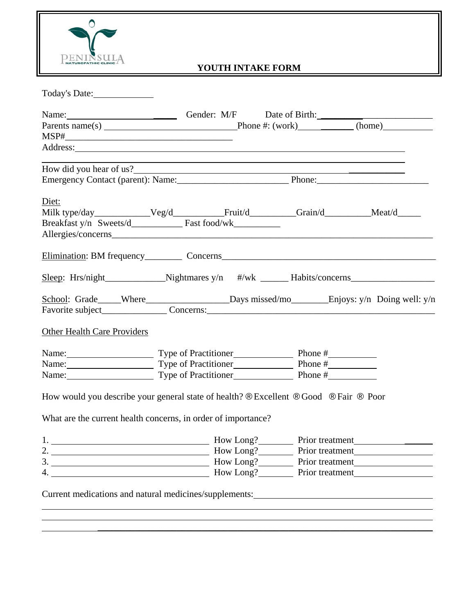

# **YOUTH INTAKE FORM**

| Name: <u>Conder:</u> M/F Date of Birth:<br>Parents name(s) Phone #: (work) (home)<br>Address: <u>and the same of the same of the same of the same of the same of the same of the same of the same of the same of the same of the same of the same of the same of the same of the same of the same of the same of the </u><br>How did you hear of us? |
|------------------------------------------------------------------------------------------------------------------------------------------------------------------------------------------------------------------------------------------------------------------------------------------------------------------------------------------------------|
|                                                                                                                                                                                                                                                                                                                                                      |
|                                                                                                                                                                                                                                                                                                                                                      |
|                                                                                                                                                                                                                                                                                                                                                      |
|                                                                                                                                                                                                                                                                                                                                                      |
|                                                                                                                                                                                                                                                                                                                                                      |
|                                                                                                                                                                                                                                                                                                                                                      |
|                                                                                                                                                                                                                                                                                                                                                      |
| Milk type/day______________Veg/d____________Fruit/d__________Grain/d__________Meat/d______                                                                                                                                                                                                                                                           |
|                                                                                                                                                                                                                                                                                                                                                      |
|                                                                                                                                                                                                                                                                                                                                                      |
|                                                                                                                                                                                                                                                                                                                                                      |
| Sleep: Hrs/night___________________Nightmares y/n #/wk ________Habits/concerns______________________                                                                                                                                                                                                                                                 |
| School: Grade____Where________________________Days missed/mo_________Enjoys: y/n Doing well: y/n                                                                                                                                                                                                                                                     |
|                                                                                                                                                                                                                                                                                                                                                      |
|                                                                                                                                                                                                                                                                                                                                                      |
| Name: Type of Practitioner Phone # Phone #                                                                                                                                                                                                                                                                                                           |
| Name: Type of Practitioner Phone # Phone #                                                                                                                                                                                                                                                                                                           |
| Name: Type of Practitioner Phone # Phone #                                                                                                                                                                                                                                                                                                           |
| How would you describe your general state of health? ® Excellent ® Good ® Fair ® Poor                                                                                                                                                                                                                                                                |
|                                                                                                                                                                                                                                                                                                                                                      |
| Prior treatment                                                                                                                                                                                                                                                                                                                                      |
|                                                                                                                                                                                                                                                                                                                                                      |
| How Long? Prior treatment                                                                                                                                                                                                                                                                                                                            |
| How Long? Prior treatment                                                                                                                                                                                                                                                                                                                            |
|                                                                                                                                                                                                                                                                                                                                                      |

 $\_$  , and the contribution of the contribution of  $\mathcal{L}_\mathcal{A}$  , and the contribution of  $\mathcal{L}_\mathcal{A}$